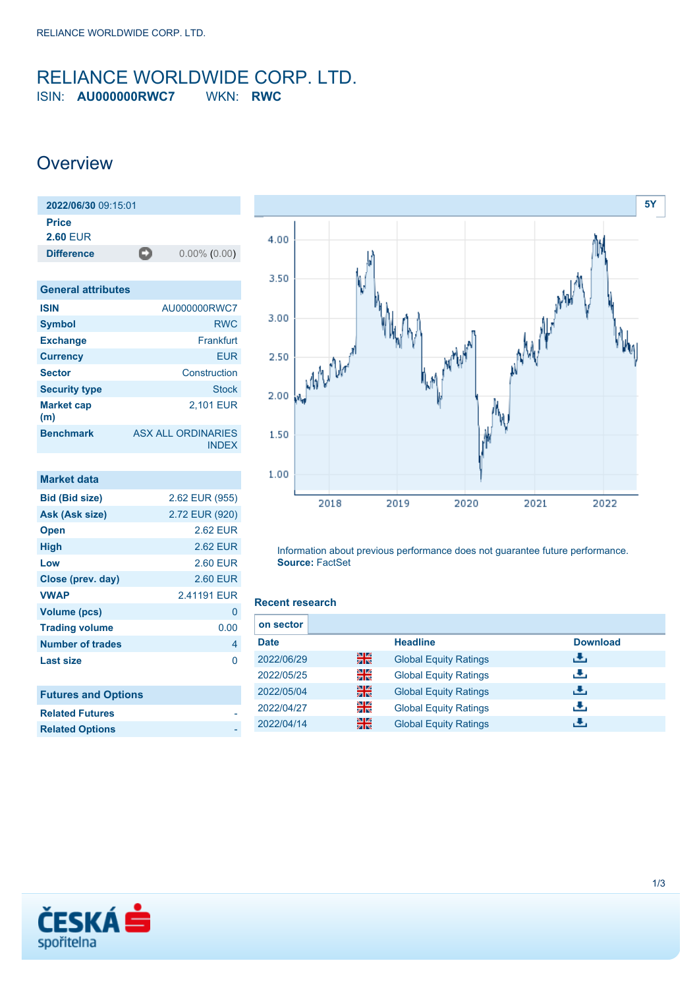### <span id="page-0-0"></span>RELIANCE WORLDWIDE CORP. LTD. ISIN: **AU000000RWC7** WKN: **RWC**

### **Overview**

| 2022/06/30 09:15:01             |   |                 |
|---------------------------------|---|-----------------|
| <b>Price</b><br><b>2.60 EUR</b> |   |                 |
| <b>Difference</b>               | О | $0.00\%$ (0.00) |

| <b>General attributes</b> |                                           |
|---------------------------|-------------------------------------------|
| <b>ISIN</b>               | AU000000RWC7                              |
| <b>Symbol</b>             | <b>RWC</b>                                |
| <b>Exchange</b>           | Frankfurt                                 |
| <b>Currency</b>           | <b>EUR</b>                                |
| <b>Sector</b>             | Construction                              |
| <b>Security type</b>      | <b>Stock</b>                              |
| <b>Market cap</b><br>(m)  | 2,101 EUR                                 |
| <b>Benchmark</b>          | <b>ASX ALL ORDINARIES</b><br><b>INDEX</b> |

| <b>Market data</b>         |                 |
|----------------------------|-----------------|
| <b>Bid (Bid size)</b>      | 2.62 EUR (955)  |
| Ask (Ask size)             | 2.72 EUR (920)  |
| <b>Open</b>                | <b>2.62 EUR</b> |
| <b>High</b>                | <b>2.62 EUR</b> |
| Low                        | <b>2.60 EUR</b> |
| Close (prev. day)          | <b>2.60 EUR</b> |
| <b>VWAP</b>                | 2.41191 EUR     |
| <b>Volume (pcs)</b>        | 0               |
| <b>Trading volume</b>      | 0.00            |
| <b>Number of trades</b>    | 4               |
| <b>Last size</b>           | 0               |
| <b>Futures and Options</b> |                 |
| <b>Related Futures</b>     |                 |
| <b>Related Options</b>     |                 |



Information about previous performance does not guarantee future performance. **Source:** FactSet

#### **Recent research**

| on sector   |    |                              |                 |
|-------------|----|------------------------------|-----------------|
| <b>Date</b> |    | <b>Headline</b>              | <b>Download</b> |
| 2022/06/29  | 을중 | <b>Global Equity Ratings</b> | æ,              |
| 2022/05/25  | 읡k | <b>Global Equity Ratings</b> | æ,              |
| 2022/05/04  | 噐  | <b>Global Equity Ratings</b> | æ,              |
| 2022/04/27  | 읡k | <b>Global Equity Ratings</b> | æ,              |
| 2022/04/14  | 噐  | <b>Global Equity Ratings</b> | J.              |

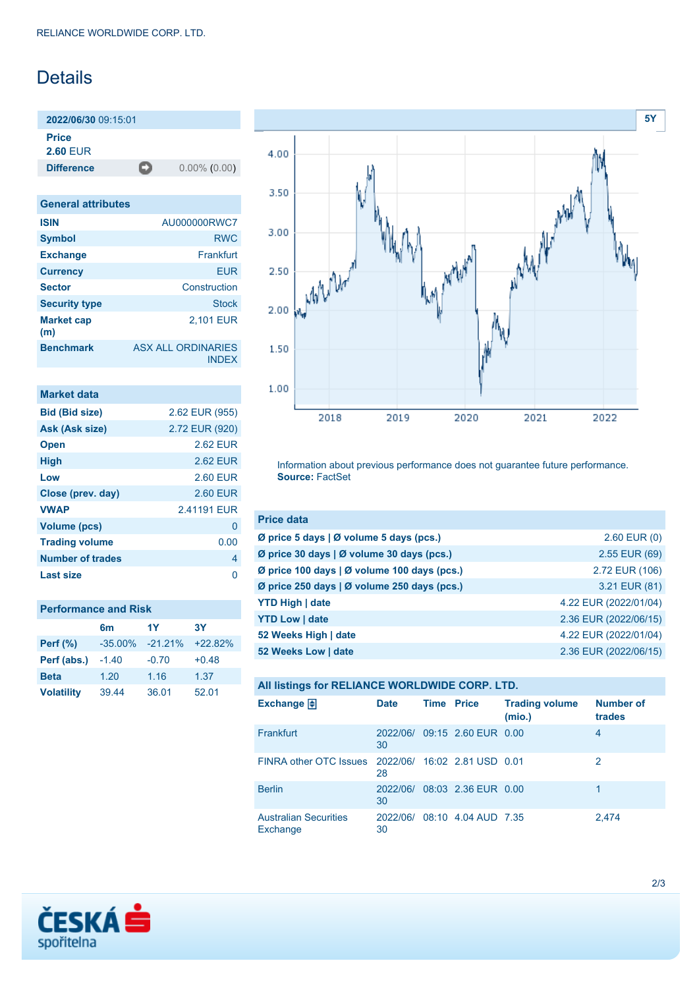## Details

**2022/06/30** 09:15:01 **Price**

**2.60** EUR

**Difference** 0.00% (0.00)

| <b>General attributes</b> |                                           |
|---------------------------|-------------------------------------------|
| <b>ISIN</b>               | AU000000RWC7                              |
| <b>Symbol</b>             | <b>RWC</b>                                |
| <b>Exchange</b>           | Frankfurt                                 |
| <b>Currency</b>           | <b>EUR</b>                                |
| <b>Sector</b>             | Construction                              |
| <b>Security type</b>      | <b>Stock</b>                              |
| <b>Market cap</b><br>(m)  | 2,101 EUR                                 |
| <b>Benchmark</b>          | <b>ASX ALL ORDINARIES</b><br><b>INDEX</b> |

| <b>Market data</b>      |                |
|-------------------------|----------------|
| <b>Bid (Bid size)</b>   | 2.62 EUR (955) |
| Ask (Ask size)          | 2.72 EUR (920) |
| <b>Open</b>             | 2.62 FUR       |
| <b>High</b>             | 2.62 EUR       |
| Low                     | 2.60 EUR       |
| Close (prev. day)       | 2.60 EUR       |
| <b>VWAP</b>             | 241191 FUR     |
| Volume (pcs)            | 0              |
| <b>Trading volume</b>   | 0.00           |
| <b>Number of trades</b> | 4              |
| Last size               | n              |

| <b>Performance and Risk</b> |                |            |           |  |
|-----------------------------|----------------|------------|-----------|--|
|                             | 6 <sub>m</sub> | 1Y         | <b>3Y</b> |  |
| <b>Perf</b> (%)             | $-35.00\%$     | $-21.21\%$ | $+22.82%$ |  |
| Perf (abs.)                 | $-1.40$        | $-0.70$    | $+0.48$   |  |
| <b>Beta</b>                 | 1.20           | 1.16       | 1.37      |  |
| <b>Volatility</b>           | 39.44          | 36.01      | 52.01     |  |



Information about previous performance does not guarantee future performance. **Source:** FactSet

| <b>Price data</b>                           |                       |
|---------------------------------------------|-----------------------|
| Ø price 5 days   Ø volume 5 days (pcs.)     | $2.60$ EUR $(0)$      |
| Ø price 30 days   Ø volume 30 days (pcs.)   | 2.55 EUR (69)         |
| Ø price 100 days   Ø volume 100 days (pcs.) | 2.72 EUR (106)        |
| Ø price 250 days   Ø volume 250 days (pcs.) | 3.21 EUR (81)         |
| <b>YTD High   date</b>                      | 4.22 EUR (2022/01/04) |
| <b>YTD Low   date</b>                       | 2.36 EUR (2022/06/15) |
| 52 Weeks High   date                        | 4.22 EUR (2022/01/04) |
| 52 Weeks Low   date                         | 2.36 EUR (2022/06/15) |

| All listings for RELIANCE WORLDWIDE CORP. LTD.      |                |                   |                     |                                 |                            |
|-----------------------------------------------------|----------------|-------------------|---------------------|---------------------------------|----------------------------|
| Exchange $\bigoplus$                                | <b>Date</b>    | <b>Time Price</b> |                     | <b>Trading volume</b><br>(mio.) | <b>Number of</b><br>trades |
| Frankfurt                                           | 2022/06/<br>30 |                   | 09:15 2.60 EUR 0.00 |                                 | $\overline{4}$             |
| FINRA other OTC Issues 2022/06/ 16:02 2.81 USD 0.01 | 28             |                   |                     |                                 | $\mathcal{P}$              |
| <b>Berlin</b>                                       | 2022/06/<br>30 |                   | 08:03 2.36 EUR 0.00 |                                 |                            |
| <b>Australian Securities</b><br>Exchange            | 2022/06/<br>30 |                   | 08:10 4.04 AUD 7.35 |                                 | 2,474                      |